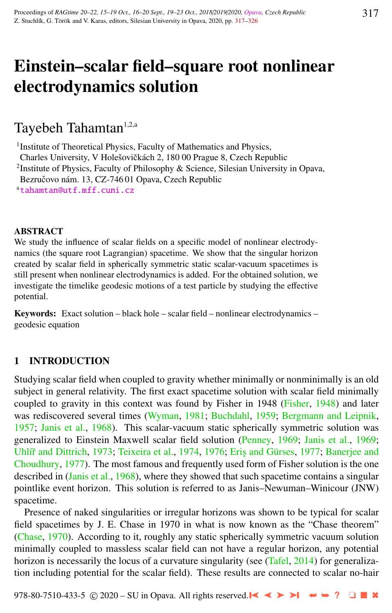# Einstein–scalar field–square root nonlinear electrodynamics solution

# Tayebeh Tahamtan<sup>1,2,a</sup>

<sup>1</sup> Institute of Theoretical Physics, Faculty of Mathematics and Physics,

Charles University, V Holešovičkách 2, 180 00 Prague 8, Czech Republic

<sup>2</sup>Institute of Physics, Faculty of Philosophy & Science, Silesian University in Opava,

Bezručovo nám. 13, CZ-746 01 Opava, Czech Republic

a[tahamtan@utf.mff.cuni.cz](http://www.physics.cz/ tahamtan@utf.mff.cuni.cz)

### **ABSTRACT**

We study the influence of scalar fields on a specific model of nonlinear electrodynamics (the square root Lagrangian) spacetime. We show that the singular horizon created by scalar field in spherically symmetric static scalar-vacuum spacetimes is still present when nonlinear electrodynamics is added. For the obtained solution, we investigate the timelike geodesic motions of a test particle by studying the effective potential.

Keywords: Exact solution – black hole – scalar field – nonlinear electrodynamics – geodesic equation

## 1 INTRODUCTION

Studying scalar field when coupled to gravity whether minimally or nonminimally is an old subject in general relativity. The first exact spacetime solution with scalar field minimally coupled to gravity in this context was found by Fisher in 1948 [\(Fisher,](#page-8-0) [1948\)](#page-8-0) and later was rediscovered several times [\(Wyman,](#page-9-0) [1981;](#page-9-0) [Buchdahl,](#page-8-0) [1959;](#page-8-0) [Bergmann and Leipnik,](#page-8-0) [1957;](#page-8-0) [Janis et al.,](#page-8-0) [1968\)](#page-8-0). This scalar-vacuum static spherically symmetric solution was generalized to Einstein Maxwell scalar field solution [\(Penney,](#page-8-0) [1969;](#page-8-0) [Janis et al.,](#page-8-0) [1969;](#page-8-0) Uhlíř and Dittrich, [1973;](#page-9-0) [Teixeira et al.,](#page-9-0) [1974,](#page-9-0) [1976;](#page-9-0) Eris and Gürses, [1977;](#page-8-0) [Banerjee and](#page-8-0) [Choudhury,](#page-8-0) [1977\)](#page-8-0). The most famous and frequently used form of Fisher solution is the one described in [\(Janis et al.,](#page-8-0) [1968\)](#page-8-0), where they showed that such spacetime contains a singular pointlike event horizon. This solution is referred to as Janis–Newuman–Winicour (JNW) spacetime.

Presence of naked singularities or irregular horizons was shown to be typical for scalar field spacetimes by J. E. Chase in 1970 in what is now known as the "Chase theorem" [\(Chase,](#page-8-0) [1970\)](#page-8-0). According to it, roughly any static spherically symmetric vacuum solution minimally coupled to massless scalar field can not have a regular horizon, any potential horizon is necessarily the locus of a curvature singularity (see [\(Tafel,](#page-9-0) [2014\)](#page-9-0) for generalization including potential for the scalar field). These results are connected to scalar no-hair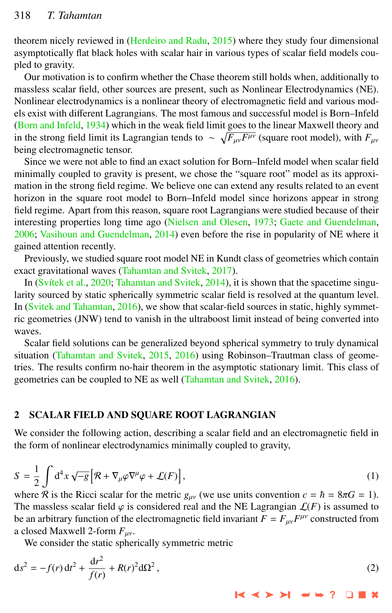<span id="page-1-0"></span>theorem nicely reviewed in [\(Herdeiro and Radu,](#page-8-0) [2015\)](#page-8-0) where they study four dimensional asymptotically flat black holes with scalar hair in various types of scalar field models coupled to gravity.

Our motivation is to confirm whether the Chase theorem still holds when, additionally to massless scalar field, other sources are present, such as Nonlinear Electrodynamics (NE). Nonlinear electrodynamics is a nonlinear theory of electromagnetic field and various models exist with different Lagrangians. The most famous and successful model is Born–Infeld [\(Born and Infeld,](#page-8-0) [1934\)](#page-8-0) which in the weak field limit goes to the linear Maxwell theory and in the strong field limit its Lagrangian tends to  $\sim \sqrt{F_{\mu\nu}F^{\mu\nu}}$  (square root model), with  $F_{\mu\nu}$ being electromagnetic tensor.

Since we were not able to find an exact solution for Born–Infeld model when scalar field minimally coupled to gravity is present, we chose the "square root" model as its approximation in the strong field regime. We believe one can extend any results related to an event horizon in the square root model to Born–Infeld model since horizons appear in strong field regime. Apart from this reason, square root Lagrangians were studied because of their interesting properties long time ago [\(Nielsen and Olesen,](#page-8-0) [1973;](#page-8-0) [Gaete and Guendelman,](#page-8-0) [2006;](#page-8-0) [Vasihoun and Guendelman,](#page-9-0) [2014\)](#page-9-0) even before the rise in popularity of NE where it gained attention recently.

Previously, we studied square root model NE in Kundt class of geometries which contain exact gravitational waves [\(Tahamtan and Svitek,](#page-9-0) [2017\)](#page-9-0).

In [\(Svítek et al.,](#page-8-0) [2020;](#page-8-0) [Tahamtan and Svitek,](#page-9-0) [2014\)](#page-9-0), it is shown that the spacetime singularity sourced by static spherically symmetric scalar field is resolved at the quantum level. In [\(Svitek and Tahamtan,](#page-8-0) [2016\)](#page-8-0), we show that scalar-field sources in static, highly symmetric geometries (JNW) tend to vanish in the ultraboost limit instead of being converted into waves.

Scalar field solutions can be generalized beyond spherical symmetry to truly dynamical situation [\(Tahamtan and Svitek,](#page-9-0) [2015,](#page-9-0) [2016\)](#page-9-0) using Robinson–Trautman class of geometries. The results confirm no-hair theorem in the asymptotic stationary limit. This class of geometries can be coupled to NE as well [\(Tahamtan and Svitek,](#page-9-0) [2016\)](#page-9-0).

#### 2 SCALAR FIELD AND SQUARE ROOT LAGRANGIAN

We consider the following action, describing a scalar field and an electromagnetic field in the form of nonlinear electrodynamics minimally coupled to gravity,

$$
S = \frac{1}{2} \int d^4x \sqrt{-g} \left[ \mathcal{R} + \nabla_{\mu} \varphi \nabla^{\mu} \varphi + \mathcal{L}(F) \right],
$$
 (1)

where R is the Ricci scalar for the metric  $g_{\mu\nu}$  (we use units convention  $c = \hbar = 8\pi G = 1$ ). The massless scalar field  $\varphi$  is considered real and the NE Lagrangian  $\mathcal{L}(F)$  is assumed to be an arbitrary function of the electromagnetic field invariant  $F = F_{\mu\nu}F^{\mu\nu}$  constructed from a closed Maywell 2 form  $F$ a closed Maxwell 2-form  $F_{\mu\nu}$ .

We consider the static spherically symmetric metric

$$
ds^{2} = -f(r) dt^{2} + \frac{dr^{2}}{f(r)} + R(r)^{2} d\Omega^{2},
$$
\n(2)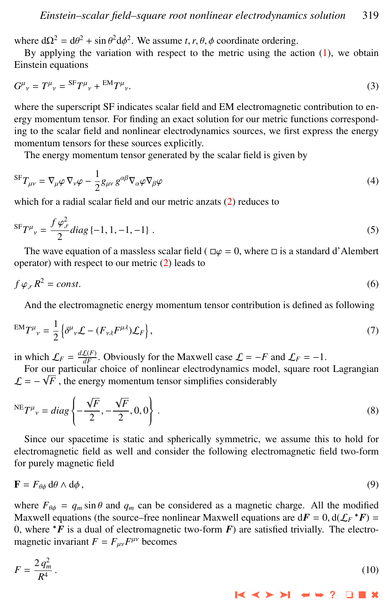<span id="page-2-0"></span>where  $d\Omega^2 = d\theta^2 + \sin \theta^2 d\phi^2$ . We assume *t*, *r*,  $\theta$ ,  $\phi$  coordinate ordering.<br>By applying the variation with respect to the metric using the ac-

By applying the variation with respect to the metric using the action  $(1)$ , we obtain Einstein equations

$$
G^{\mu}{}_{\nu} = T^{\mu}{}_{\nu} = {}^{\text{SF}}T^{\mu}{}_{\nu} + {}^{\text{EM}}T^{\mu}{}_{\nu}.
$$
\n
$$
\tag{3}
$$

where the superscript SF indicates scalar field and EM electromagnetic contribution to energy momentum tensor. For finding an exact solution for our metric functions corresponding to the scalar field and nonlinear electrodynamics sources, we first express the energy momentum tensors for these sources explicitly.

The energy momentum tensor generated by the scalar field is given by

$$
{}^{\text{SF}}T_{\mu\nu} = \nabla_{\mu}\varphi \,\nabla_{\nu}\varphi - \frac{1}{2}g_{\mu\nu} \, g^{\alpha\beta} \nabla_{\alpha}\varphi \nabla_{\beta}\varphi \tag{4}
$$

which for a radial scalar field and our metric anzats [\(2\)](#page-1-0) reduces to

$$
{}^{\text{SF}}T^{\mu}{}_{\nu} = \frac{f \varphi_{,r}^{2}}{2} diag \{-1, 1, -1, -1\} . \tag{5}
$$

The wave equation of a massless scalar field ( $\Box \varphi = 0$ , where  $\Box$  is a standard d'Alembert operator) with respect to our metric  $(2)$  leads to

$$
f \varphi_{,r} R^2 = const. \tag{6}
$$

And the electromagnetic energy momentum tensor contribution is defined as following

$$
E M T^{\mu}{}_{\nu} = \frac{1}{2} \left\{ \delta^{\mu}{}_{\nu} \mathcal{L} - (F_{\nu\lambda} F^{\mu\lambda}) \mathcal{L}_F \right\},\tag{7}
$$

in which  $\mathcal{L}_F = \frac{d\mathcal{L}(F)}{dF}$ . Obviously for the Maxwell case  $\mathcal{L} = -F$  and  $\mathcal{L}_F = -1$ .

For our particular choice of nonlinear electrodynamics model, square root Lagrangian √  $\mathcal{L} = -\sqrt{F}$ , the energy momentum tensor simplifies considerably

$$
{}^{\text{NE}}T^{\mu}{}_{\nu} = diag\left\{-\frac{\sqrt{F}}{2}, -\frac{\sqrt{F}}{2}, 0, 0\right\}.
$$
 (8)

Since our spacetime is static and spherically symmetric, we assume this to hold for electromagnetic field as well and consider the following electromagnetic field two-form for purely magnetic field

$$
\mathbf{F} = F_{\theta\phi} \, \mathrm{d}\theta \wedge \mathrm{d}\phi \,,\tag{9}
$$

where  $F_{\theta\phi} = q_m \sin \theta$  and  $q_m$  can be considered as a magnetic charge. All the modified Maxwell equations (the source–free nonlinear Maxwell equations are  $d\mathbf{F} = 0$ ,  $d(\mathcal{L}_F * \mathbf{F}) = 0$  where  $* \mathbf{F}$  is a dual of electromagnetic two-form  $\mathbf{F}$ ) are satisfied trivially. The electro-0, where  $*F$  is a dual of electromagnetic two-form  $F$ ) are satisfied trivially. The electromagnetic invariant  $F = F_{\mu\nu} F^{\mu\nu}$  becomes

$$
F = \frac{2 q_m^2}{R^4} \,. \tag{10}
$$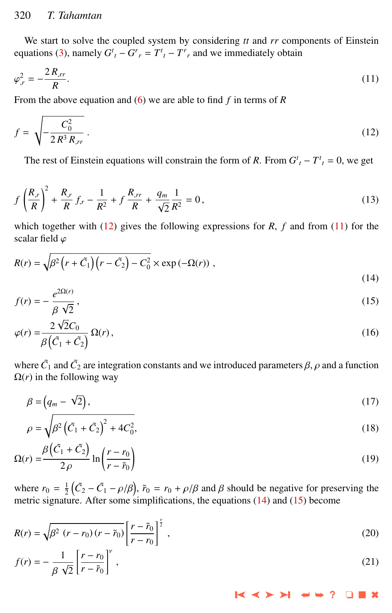#### <span id="page-3-0"></span>320 *T. Tahamtan*

We start to solve the coupled system by considering *tt* and *rr* components of Einstein equations [\(3\)](#page-2-0), namely  $G_t^t - G_r^r = T_t^t - T_r^r$  and we immediately obtain

$$
\varphi_{,r}^2 = -\frac{2R_{,rr}}{R}.\tag{11}
$$

From the above equation and [\(6\)](#page-2-0) we are able to find *f* in terms of *R*

$$
f = \sqrt{-\frac{C_0^2}{2R^3 R_{,rr}}} \,. \tag{12}
$$

The rest of Einstein equations will constrain the form of *R*. From  $G^t$  *t* −  $T^t$  *t* = 0, we get

$$
f\left(\frac{R_{,r}}{R}\right)^2 + \frac{R_{,r}}{R}f_{,r} - \frac{1}{R^2} + f\frac{R_{,rr}}{R} + \frac{q_m}{\sqrt{2}}\frac{1}{R^2} = 0\,,\tag{13}
$$

which together with  $(12)$  gives the following expressions for *R*, *f* and from  $(11)$  for the scalar field ϕ

$$
R(r) = \sqrt{\beta^2 \left(r + \tilde{C}_1\right) \left(r - \tilde{C}_2\right) - C_0^2} \times \exp\left(-\Omega(r)\right) ,\qquad (14)
$$

$$
f(r) = -\frac{e^{2\Omega(r)}}{\beta \sqrt{2}},\tag{15}
$$

$$
\beta \sqrt{2}
$$
  

$$
\varphi(r) = \frac{2\sqrt{2}C_0}{\beta(\tilde{C}_1 + \tilde{C}_2)} \Omega(r),
$$
 (16)

where  $\tilde{C}_1$  and  $\tilde{C}_2$  are integration constants and we introduced parameters  $\beta$ ,  $\rho$  and a function  $O(r)$  in the following way.  $\Omega(r)$  in the following way

$$
\beta = \left(q_m - \sqrt{2}\right),\tag{17}
$$

$$
\rho = \sqrt{\beta^2 (\tilde{C}_1 + \tilde{C}_2)^2 + 4C_0^2},
$$
\n(18)

$$
\Omega(r) = \frac{\beta(\tilde{C}_1 + \tilde{C}_2)}{2\rho} \ln\left(\frac{r - r_0}{r - \tilde{r}_0}\right)
$$
\n(19)

where  $r_0 = \frac{1}{2} (\tilde{C}_2 - \tilde{C}_1 - \rho/\beta)$ ,  $\tilde{r}_0 = r_0 + \rho/\beta$  and  $\beta$  should be negative for preserving the metric signature. After some simplifications the equations (14) and (15) become metric signature. After some simplifications, the equations  $(14)$  and  $(15)$  become

$$
R(r) = \sqrt{\beta^2 \left(r - r_0\right)\left(r - \tilde{r}_0\right)} \left[\frac{r - \tilde{r}_0}{r - r_0}\right]^{\frac{v}{2}},\tag{20}
$$

$$
f(r) = -\frac{1}{\beta \sqrt{2}} \left[ \frac{r - r_0}{r - \tilde{r}_0} \right]^{\nu},\tag{21}
$$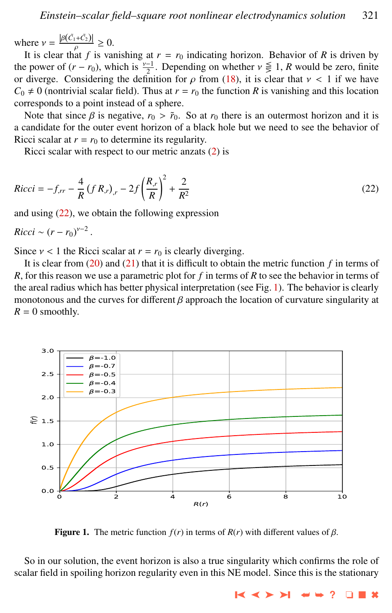where  $v = \frac{|\beta(\tilde{C}_1 + \tilde{C}_2)|}{\rho} \ge 0$ .<br>It is clear that f is you

It is clear that *f* is vanishing at  $r = r_0$  indicating horizon. Behavior of *R* is driven by the power of  $(r - r_0)$ , which is  $\frac{v-1}{2}$ . Depending on whether  $v \le 1$ , *R* would be zero, finite or diverge. Considering the definition for a from (18), it is clear that  $y < 1$  if we have or diverge. Considering the definition for  $\rho$  from [\(18\)](#page-3-0), it is clear that  $\nu < 1$  if we have  $C_0 \neq 0$  (nontrivial scalar field). Thus at  $r = r_0$  the function *R* is vanishing and this location corresponds to a point instead of a sphere.

Note that since  $\beta$  is negative,  $r_0 > \tilde{r}_0$ . So at  $r_0$  there is an outermost horizon and it is a candidate for the outer event horizon of a black hole but we need to see the behavior of Ricci scalar at  $r = r_0$  to determine its regularity.

Ricci scalar with respect to our metric anzats [\(2\)](#page-1-0) is

$$
Ricci = -f_{,rr} - \frac{4}{R} (f R_{,r})_{,r} - 2f \left(\frac{R_{,r}}{R}\right)^2 + \frac{2}{R^2}
$$
\n(22)

and using (22), we obtain the following expression

 $Ricci \sim (r - r_0)^{\nu - 2}$ 

Since  $v < 1$  the Ricci scalar at  $r = r_0$  is clearly diverging.

It is clear from [\(20\)](#page-3-0) and [\(21\)](#page-3-0) that it is difficult to obtain the metric function *f* in terms of *R*, for this reason we use a parametric plot for *f* in terms of *R* to see the behavior in terms of the areal radius which has better physical interpretation (see Fig. 1). The behavior is clearly monotonous and the curves for different  $\beta$  approach the location of curvature singularity at  $R = 0$  smoothly.



**Figure 1.** The metric function  $f(r)$  in terms of  $R(r)$  with different values of  $\beta$ .

So in our solution, the event horizon is also a true singularity which confirms the role of scalar field in spoiling horizon regularity even in this NE model. Since this is the stationary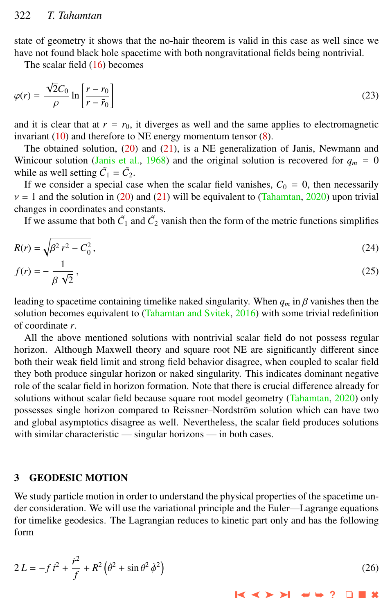<span id="page-5-0"></span>state of geometry it shows that the no-hair theorem is valid in this case as well since we have not found black hole spacetime with both nongravitational fields being nontrivial.

The scalar field [\(16\)](#page-3-0) becomes

$$
\varphi(r) = \frac{\sqrt{2}C_0}{\rho} \ln \left[ \frac{r - r_0}{r - \tilde{r}_0} \right]
$$
\n(23)

and it is clear that at  $r = r_0$ , it diverges as well and the same applies to electromagnetic invariant  $(10)$  and therefore to NE energy momentum tensor  $(8)$ .

The obtained solution,  $(20)$  and  $(21)$ , is a NE generalization of Janis, Newmann and Winicour solution [\(Janis et al.,](#page-8-0) [1968\)](#page-8-0) and the original solution is recovered for  $q_m = 0$ while as well setting  $\tilde{C}_1 = \tilde{C}_2$ .

If we consider a special case when the scalar field vanishes,  $C_0 = 0$ , then necessarily  $v = 1$  and the solution in [\(20\)](#page-3-0) and [\(21\)](#page-3-0) will be equivalent to [\(Tahamtan,](#page-9-0) [2020\)](#page-9-0) upon trivial changes in coordinates and constants.

If we assume that both  $\tilde{C}_1$  and  $\tilde{C}_2$  vanish then the form of the metric functions simplifies

$$
R(r) = \sqrt{\beta^2 r^2 - C_0^2},
$$
\n(24)

$$
f(r) = -\frac{1}{\beta \sqrt{2}},\tag{25}
$$

leading to spacetime containing timelike naked singularity. When  $q_m$  in  $\beta$  vanishes then the solution becomes equivalent to [\(Tahamtan and Svitek,](#page-9-0) [2016\)](#page-9-0) with some trivial redefinition of coordinate *r*.

All the above mentioned solutions with nontrivial scalar field do not possess regular horizon. Although Maxwell theory and square root NE are significantly different since both their weak field limit and strong field behavior disagree, when coupled to scalar field they both produce singular horizon or naked singularity. This indicates dominant negative role of the scalar field in horizon formation. Note that there is crucial difference already for solutions without scalar field because square root model geometry [\(Tahamtan,](#page-9-0) [2020\)](#page-9-0) only possesses single horizon compared to Reissner–Nordström solution which can have two and global asymptotics disagree as well. Nevertheless, the scalar field produces solutions with similar characteristic — singular horizons — in both cases.

#### 3 GEODESIC MOTION

We study particle motion in order to understand the physical properties of the spacetime under consideration. We will use the variational principle and the Euler—Lagrange equations for timelike geodesics. The Lagrangian reduces to kinetic part only and has the following form

$$
2L = -f \, i^2 + \frac{r^2}{f} + R^2 \left( \dot{\theta}^2 + \sin \theta^2 \, \dot{\phi}^2 \right) \tag{26}
$$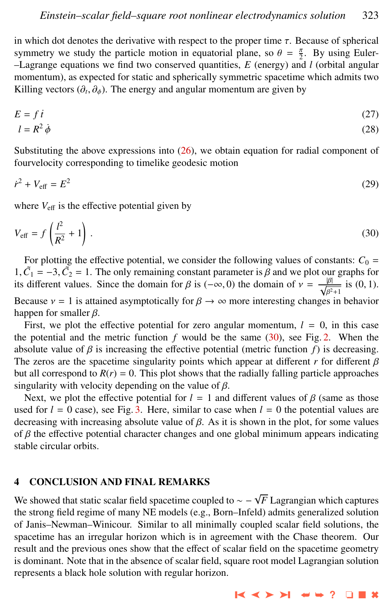in which dot denotes the derivative with respect to the proper time  $\tau$ . Because of spherical symmetry we study the particle motion in equatorial plane, so  $\theta = \frac{\pi}{2}$ . By using Euler-<br>- Lagrange equations we find two conserved quantities  $F$  (energy) and *L*(orbital angular –Lagrange equations we find two conserved quantities, *E* (energy) and *l* (orbital angular momentum), as expected for static and spherically symmetric spacetime which admits two Killing vectors  $(\partial_t, \partial_\phi)$ . The energy and angular momentum are given by

$$
E = f \, i \tag{27}
$$

$$
l = R^2 \dot{\phi} \tag{28}
$$

Substituting the above expressions into  $(26)$ , we obtain equation for radial component of fourvelocity corresponding to timelike geodesic motion

$$
\dot{r}^2 + V_{\text{eff}} = E^2 \tag{29}
$$

where  $V_{\text{eff}}$  is the effective potential given by

$$
V_{\text{eff}} = f\left(\frac{l^2}{R^2} + 1\right). \tag{30}
$$

For plotting the effective potential, we consider the following values of constants:  $C_0$  = 1,  $\tilde{C}_1 = -3$ ,  $\tilde{C}_2 = 1$ . The only remaining constant parameter is  $\beta$  and we plot our graphs for its different values. Since the domain for  $\beta$  is  $(-\infty, 0)$  the domain of  $y = -\frac{|\beta|}{\beta}$  is  $(0, 1)$ . its different values. Since the domain for  $\beta$  is  $(-\infty, 0)$  the domain of  $\nu = \frac{|\beta|}{\sqrt{\beta^2 + 1}}$  is  $(0, 1)$ . Because  $v = 1$  is attained asymptotically for  $\beta \to \infty$  more interesting changes in behavior hannel for smaller  $\beta$ happen for smaller  $\beta$ .

First, we plot the effective potential for zero angular momentum,  $l = 0$ , in this case the potential and the metric function  $f$  would be the same  $(30)$ , see Fig. [2.](#page-7-0) When the absolute value of  $\beta$  is increasing the effective potential (metric function  $f$ ) is decreasing. The zeros are the spacetime singularity points which appear at different  $r$  for different  $\beta$ but all correspond to  $R(r) = 0$ . This plot shows that the radially falling particle approaches singularity with velocity depending on the value of  $\beta$ .

Next, we plot the effective potential for  $l = 1$  and different values of  $\beta$  (same as those used for  $l = 0$  case), see Fig. [3.](#page-7-0) Here, similar to case when  $l = 0$  the potential values are decreasing with increasing absolute value of  $\beta$ . As it is shown in the plot, for some values of  $\beta$  the effective potential character changes and one global minimum appears indicating stable circular orbits.

#### 4 CONCLUSION AND FINAL REMARKS

We showed that static scalar field spacetime coupled to ∼ − <sup>√</sup> *F* Lagrangian which captures the strong field regime of many NE models (e.g., Born–Infeld) admits generalized solution of Janis–Newman–Winicour. Similar to all minimally coupled scalar field solutions, the spacetime has an irregular horizon which is in agreement with the Chase theorem. Our result and the previous ones show that the effect of scalar field on the spacetime geometry is dominant. Note that in the absence of scalar field, square root model Lagrangian solution represents a black hole solution with regular horizon.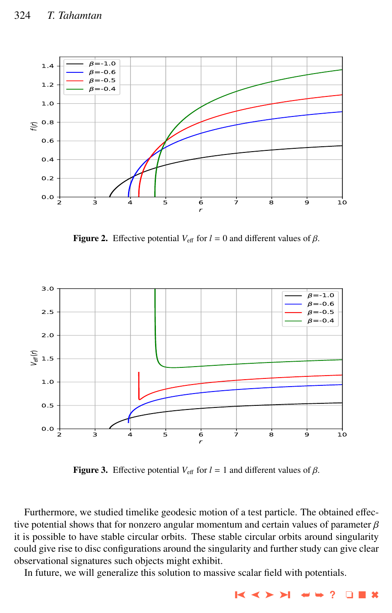<span id="page-7-0"></span>

Figure 2. Effective potential  $V_{\text{eff}}$  for  $l = 0$  and different values of  $\beta$ .



**Figure 3.** Effective potential  $V_{\text{eff}}$  for  $l = 1$  and different values of  $\beta$ .

Furthermore, we studied timelike geodesic motion of a test particle. The obtained effective potential shows that for nonzero angular momentum and certain values of parameter  $\beta$ it is possible to have stable circular orbits. These stable circular orbits around singularity could give rise to disc configurations around the singularity and further study can give clear observational signatures such objects might exhibit.

In future, we will generalize this solution to massive scalar field with potentials.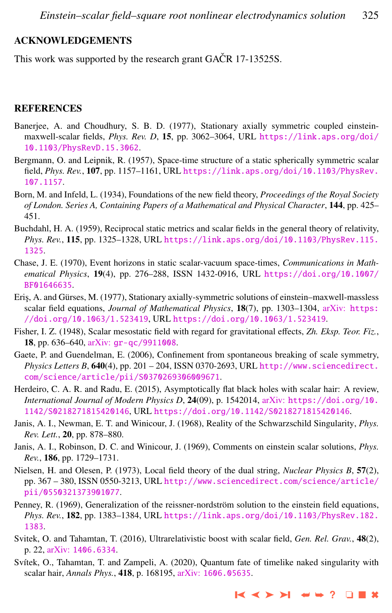#### <span id="page-8-0"></span>ACKNOWLEDGEMENTS

This work was supported by the research grant GACR 17-13525S.

#### **REFERENCES**

- Banerjee, A. and Choudhury, S. B. D. (1977), Stationary axially symmetric coupled einsteinmaxwell-scalar fields, *Phys. Rev. D*, 15, pp. 3062–3064, URL [https://link.aps.org/doi/](https://link.aps.org/doi/10.1103/PhysRevD.15.3062) [10.1103/PhysRevD.15.3062](https://link.aps.org/doi/10.1103/PhysRevD.15.3062).
- Bergmann, O. and Leipnik, R. (1957), Space-time structure of a static spherically symmetric scalar field, *Phys. Rev.*, 107, pp. 1157–1161, URL [https://link.aps.org/doi/10.1103/PhysRev.](https://link.aps.org/doi/10.1103/PhysRev.107.1157) [107.1157](https://link.aps.org/doi/10.1103/PhysRev.107.1157).
- Born, M. and Infeld, L. (1934), Foundations of the new field theory, *Proceedings of the Royal Society of London. Series A, Containing Papers of a Mathematical and Physical Character*, 144, pp. 425– 451.
- Buchdahl, H. A. (1959), Reciprocal static metrics and scalar fields in the general theory of relativity, *Phys. Rev.*, 115, pp. 1325–1328, URL [https://link.aps.org/doi/10.1103/PhysRev.115.](https://link.aps.org/doi/10.1103/PhysRev.115.1325) [1325](https://link.aps.org/doi/10.1103/PhysRev.115.1325).
- Chase, J. E. (1970), Event horizons in static scalar-vacuum space-times, *Communications in Mathematical Physics*, 19(4), pp. 276–288, ISSN 1432-0916, URL [https://doi.org/10.1007/](https://doi.org/10.1007/BF01646635) [BF01646635](https://doi.org/10.1007/BF01646635).
- Eri¸s, A. and Gürses, M. (1977), Stationary axially-symmetric solutions of einstein–maxwell-massless scalar field equations, *Journal of Mathematical Physics*, 18(7), pp. 1303–1304, arXiv: [https:](http://www.arxiv.org/abs/https://doi.org/10.1063/1.523419) [//doi.org/10.1063/1.523419](http://www.arxiv.org/abs/https://doi.org/10.1063/1.523419), URL <https://doi.org/10.1063/1.523419>.
- Fisher, I. Z. (1948), Scalar mesostatic field with regard for gravitational effects, *Zh. Eksp. Teor. Fiz.*, 18, pp. 636–640, arXiv: [gr-qc/9911008](http://www.arxiv.org/abs/gr-qc/9911008).
- Gaete, P. and Guendelman, E. (2006), Confinement from spontaneous breaking of scale symmetry, *Physics Letters B*, 640(4), pp. 201 – 204, ISSN 0370-2693, URL [http://www.sciencedirect.](http://www.sciencedirect.com/science/article/pii/S0370269306009671) [com/science/article/pii/S0370269306009671](http://www.sciencedirect.com/science/article/pii/S0370269306009671).
- Herdeiro, C. A. R. and Radu, E. (2015), Asymptotically flat black holes with scalar hair: A review, *International Journal of Modern Physics D*, 24(09), p. 1542014, arXiv: [https://doi.org/10.](http://www.arxiv.org/abs/https://doi.org/10.1142/S0218271815420146) [1142/S0218271815420146](http://www.arxiv.org/abs/https://doi.org/10.1142/S0218271815420146), URL <https://doi.org/10.1142/S0218271815420146>.
- Janis, A. I., Newman, E. T. and Winicour, J. (1968), Reality of the Schwarzschild Singularity, *Phys. Rev. Lett.*, 20, pp. 878–880.
- Janis, A. I., Robinson, D. C. and Winicour, J. (1969), Comments on einstein scalar solutions, *Phys. Rev.*, 186, pp. 1729–1731.
- Nielsen, H. and Olesen, P. (1973), Local field theory of the dual string, *Nuclear Physics B*, 57(2), pp. 367 – 380, ISSN 0550-3213, URL [http://www.sciencedirect.com/science/article/](http://www.sciencedirect.com/science/article/pii/0550321373901077) [pii/0550321373901077](http://www.sciencedirect.com/science/article/pii/0550321373901077).
- Penney, R. (1969), Generalization of the reissner-nordström solution to the einstein field equations, *Phys. Rev.*, 182, pp. 1383–1384, URL [https://link.aps.org/doi/10.1103/PhysRev.182.](https://link.aps.org/doi/10.1103/PhysRev.182.1383) [1383](https://link.aps.org/doi/10.1103/PhysRev.182.1383).
- Svitek, O. and Tahamtan, T. (2016), Ultrarelativistic boost with scalar field, *Gen. Rel. Grav.*, 48(2), p. 22, arXiv: [1406.6334](http://www.arxiv.org/abs/1406.6334).
- Svítek, O., Tahamtan, T. and Zampeli, A. (2020), Quantum fate of timelike naked singularity with scalar hair, *Annals Phys.*, 418, p. 168195, arXiv: [1606.05635](http://www.arxiv.org/abs/1606.05635).